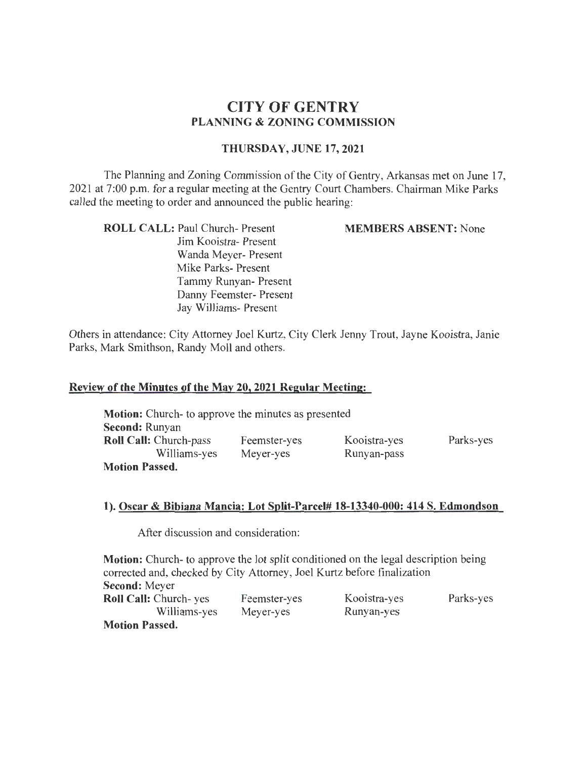# **CITY OF GENTRY PLANNING & ZONING COMMISSION**

### **THURSDAY, JUNE 17,2021**

The Planning and Zoning Commission of the City of Gentry, Arkansas met on June 17, 2021 at 7:00 p.m. for a regular meeting at the Gentry Court Chambers. Chairman Mike Parks called the meeting to order and announced the public hearing:

**ROLL CALL:** Paul Church- Present Jim Kooistra- Present Wanda Meyer- Present Mike Parks- Present Tammy Runyan- Present Danny Feemster- Present Jay Williams- Present

**MEMBERS ABSENT:** None

Others in attendance: City Attorney Joel Kurtz, City Clerk Jenny Trout, Jayne Kooistra, Janie Parks, Mark Smithson, Randy Moll and others.

#### **Review of the Minutes of the May 20, 2021 Regular Meeting:**

| <b>Motion:</b> Church- to approve the minutes as presented |              |              |           |
|------------------------------------------------------------|--------------|--------------|-----------|
| Second: Runyan                                             |              |              |           |
| <b>Roll Call:</b> Church-pass                              | Feemster-yes | Kooistra-yes | Parks-yes |
| Williams-yes                                               | Meyer-yes    | Runyan-pass  |           |
| <b>Motion Passed.</b>                                      |              |              |           |

#### **1). Oscar & Bibiana Mancia: Lot Split-Parcel# 18-13340-000: 414 S. Edmondson**

After discussion and consideration:

**Motion:** Church- to approve the lot split conditioned on the legal description being corrected and, checked by City Attorney, Joel Kurtz before finalization **Second:** Meyer **Roll Call:** Church- yes Williams-yes **Motion Passed.**  Feemster-yes Meyer-yes Kooistra-yes Runyan-yes Parks-yes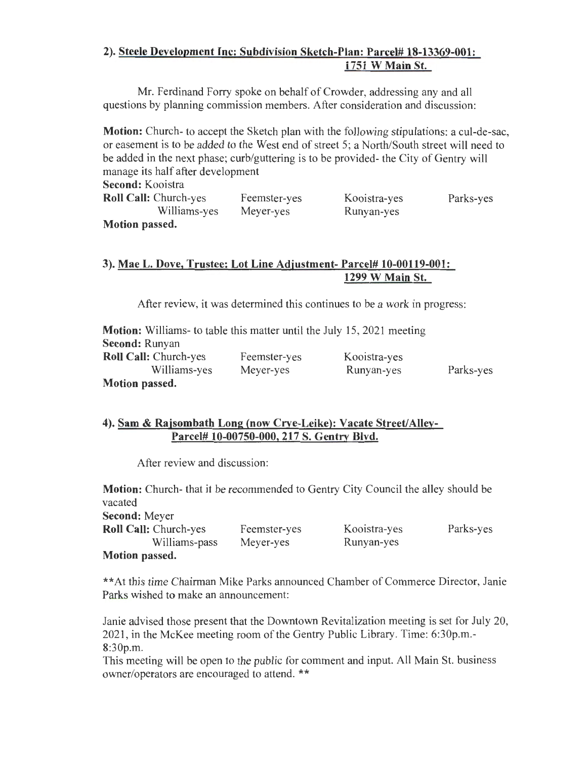## **2). Steele Development Inc: Subdivision Sketch-Plan: Parcel# 18-13369-001: 1751 W Main St.**

Mr. Ferdinand Forry spoke on behalf of Crowder, addressing any and all questions by planning commission members. After consideration and discussion:

**Motion:** Church- to accept the Sketch plan with the following stipulations: a cul-de-sac, or easement is to be added to the West end of street 5; a North/South street will need to be added in the next phase; curb/guttering is to be provided- the City of Gentry will manage its half after development

**Second:** Kooistra **Roll Call:** Church-yes Williams-yes Feemster-yes Meyer-yes

Kooistra-yes Runyan-yes

Parks-yes

**Motion passed.** 

### 3). **Mae L. Dove, Trustee: Lot Line Adjustment- Parcel# 10-00119-001: 1299 W Main St.**

After review, it was determined this continues to be a work in progress:

| <b>Motion:</b> Williams- to table this matter until the July 15, 2021 meeting |              |              |           |
|-------------------------------------------------------------------------------|--------------|--------------|-----------|
| <b>Second: Runyan</b>                                                         |              |              |           |
| <b>Roll Call:</b> Church-yes                                                  | Feemster-yes | Kooistra-yes |           |
| Williams-yes                                                                  | Meyer-yes    | Runyan-yes   | Parks-yes |
| Motion passed.                                                                |              |              |           |

### **4). Sam & Rajsombath Long (now Crye-Leike): Vacate Street/Alley-Parcel# 10-00750-000, 217 S. Gentry Blvd.**

After review and discussion:

**Motion:** Church- that it be recommended to Gentry City Council the alley should be vacated

**Second:** Meyer

**Roll Call:** Church-yes Williams-pass Feemster-yes Meyer-yes

Kooistra-yes Runyan-yes

Parks-yes

**Motion passed.** 

\*\*At this time Chairman Mike Parks announced Chamber of Commerce Director, Janie Parks wished to make an announcement:

Janie advised those present that the Downtown Revitalization meeting is set for July 20, 2021, in the McKee meeting room of the Gentry Public Library. Time: 6:30p.m.-8:30p.m.

This meeting will be open to the public for comment and input. All Main St. business owner/operators are encouraged to attend. \*\*